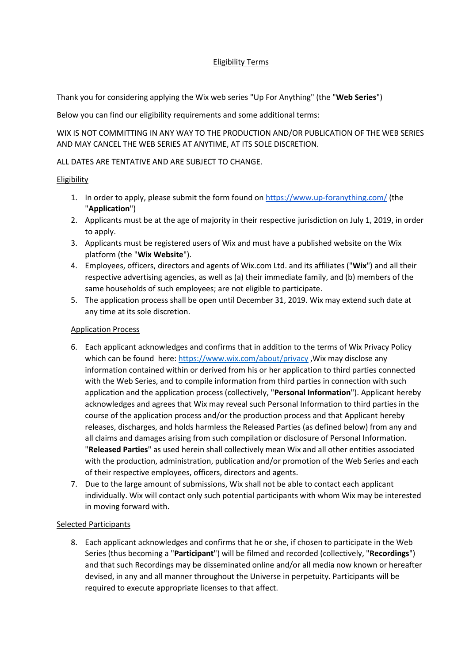# Eligibility Terms

Thank you for considering applying the Wix web series "Up For Anything" (the "**Web Series**")

Below you can find our eligibility requirements and some additional terms:

WIX IS NOT COMMITTING IN ANY WAY TO THE PRODUCTION AND/OR PUBLICATION OF THE WEB SERIES AND MAY CANCEL THE WEB SERIES AT ANYTIME, AT ITS SOLE DISCRETION.

## ALL DATES ARE TENTATIVE AND ARE SUBJECT TO CHANGE.

## **Eligibility**

- 1. In order to apply, please submit the form found on<https://www.up-foranything.com/> (the "**Application**")
- 2. Applicants must be at the age of majority in their respective jurisdiction on July 1, 2019, in order to apply.
- 3. Applicants must be registered users of Wix and must have a published website on the Wix platform (the "**Wix Website**").
- 4. Employees, officers, directors and agents of Wix.com Ltd. and its affiliates ("**Wix**") and all their respective advertising agencies, as well as (a) their immediate family, and (b) members of the same households of such employees; are not eligible to participate.
- 5. The application process shall be open until December 31, 2019. Wix may extend such date at any time at its sole discretion.

## Application Process

- 6. Each applicant acknowledges and confirms that in addition to the terms of Wix Privacy Policy which can be found here[: https://www.wix.com/about/privacy](https://www.wix.com/about/privacy) ,Wix may disclose any information contained within or derived from his or her application to third parties connected with the Web Series, and to compile information from third parties in connection with such application and the application process (collectively, "**Personal Information**"). Applicant hereby acknowledges and agrees that Wix may reveal such Personal Information to third parties in the course of the application process and/or the production process and that Applicant hereby releases, discharges, and holds harmless the Released Parties (as defined below) from any and all claims and damages arising from such compilation or disclosure of Personal Information. "**Released Parties**" as used herein shall collectively mean Wix and all other entities associated with the production, administration, publication and/or promotion of the Web Series and each of their respective employees, officers, directors and agents.
- 7. Due to the large amount of submissions, Wix shall not be able to contact each applicant individually. Wix will contact only such potential participants with whom Wix may be interested in moving forward with.

#### Selected Participants

8. Each applicant acknowledges and confirms that he or she, if chosen to participate in the Web Series (thus becoming a "**Participant**") will be filmed and recorded (collectively, "**Recordings**") and that such Recordings may be disseminated online and/or all media now known or hereafter devised, in any and all manner throughout the Universe in perpetuity. Participants will be required to execute appropriate licenses to that affect.